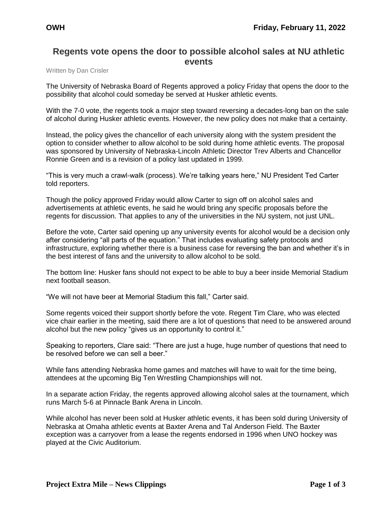## **Regents vote opens the door to possible alcohol sales at NU athletic events**

Written by Dan Crisler

The University of Nebraska Board of Regents approved a policy Friday that opens the door to the possibility that alcohol could someday be served at Husker athletic events.

With the 7-0 vote, the regents took a major step toward reversing a decades-long ban on the sale of alcohol during Husker athletic events. However, the new policy does not make that a certainty.

Instead, the policy gives the chancellor of each university along with the system president the option to consider whether to allow alcohol to be sold during home athletic events. The proposal was sponsored by University of Nebraska-Lincoln Athletic Director Trev Alberts and Chancellor Ronnie Green and is a revision of a policy last updated in 1999.

"This is very much a crawl-walk (process). We're talking years here," NU President Ted Carter told reporters.

Though the policy approved Friday would allow Carter to sign off on alcohol sales and advertisements at athletic events, he said he would bring any specific proposals before the regents for discussion. That applies to any of the universities in the NU system, not just UNL.

Before the vote, Carter said opening up any university events for alcohol would be a decision only after considering "all parts of the equation." That includes evaluating safety protocols and infrastructure, exploring whether there is a business case for reversing the ban and whether it's in the best interest of fans and the university to allow alcohol to be sold.

The bottom line: Husker fans should not expect to be able to buy a beer inside Memorial Stadium next football season.

"We will not have beer at Memorial Stadium this fall," Carter said.

Some regents voiced their support shortly before the vote. Regent Tim Clare, who was elected vice chair earlier in the meeting, said there are a lot of questions that need to be answered around alcohol but the new policy "gives us an opportunity to control it."

Speaking to reporters, Clare said: "There are just a huge, huge number of questions that need to be resolved before we can sell a beer."

While fans attending Nebraska home games and matches will have to wait for the time being, attendees at the upcoming Big Ten Wrestling Championships will not.

In a separate action Friday, the regents approved allowing alcohol sales at the tournament, which runs March 5-6 at Pinnacle Bank Arena in Lincoln.

While alcohol has never been sold at Husker athletic events, it has been sold during University of Nebraska at Omaha athletic events at Baxter Arena and Tal Anderson Field. The Baxter exception was a carryover from a lease the regents endorsed in 1996 when UNO hockey was played at the Civic Auditorium.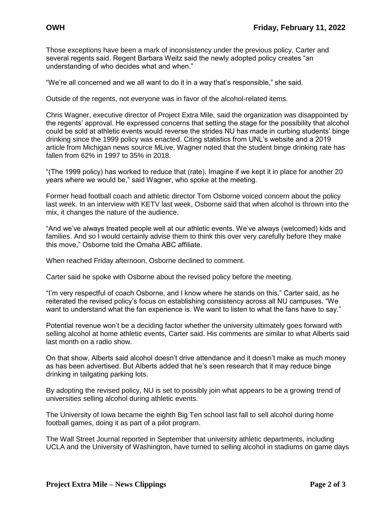Those exceptions have been a mark of inconsistency under the previous policy, Carter and several regents said. Regent Barbara Weitz said the newly adopted policy creates "an understanding of who decides what and when."

"We're all concerned and we all want to do it in a way that's responsible," she said.

Outside of the regents, not everyone was in favor of the alcohol-related items.

Chris Wagner, executive director of Project Extra Mile, said the organization was disappointed by the regents' approval. He expressed concerns that setting the stage for the possibility that alcohol could be sold at athletic events would reverse the strides NU has made in curbing students' binge drinking since the 1999 policy was enacted. Citing statistics from UNL's website and a 2019 article from Michigan news source MLive, Wagner noted that the student binge drinking rate has fallen from 62% in 1997 to 35% in 2018.

"(The 1999 policy) has worked to reduce that (rate). Imagine if we kept it in place for another 20 years where we would be," said Wagner, who spoke at the meeting.

Former head football coach and athletic director Tom Osborne voiced concern about the policy last week. In an interview with KETV last week, Osborne said that when alcohol is thrown into the mix, it changes the nature of the audience.

"And we've always treated people well at our athletic events. We've always (welcomed) kids and families. And so I would certainly advise them to think this over very carefully before they make this move," Osborne told the Omaha ABC affiliate.

When reached Friday afternoon, Osborne declined to comment.

Carter said he spoke with Osborne about the revised policy before the meeting.

"I'm very respectful of coach Osborne, and I know where he stands on this," Carter said, as he reiterated the revised policy's focus on establishing consistency across all NU campuses. "We want to understand what the fan experience is. We want to listen to what the fans have to say."

Potential revenue won't be a deciding factor whether the university ultimately goes forward with selling alcohol at home athletic events, Carter said. His comments are similar to what Alberts said last month on a radio show.

On that show, Alberts said alcohol doesn't drive attendance and it doesn't make as much money as has been advertised. But Alberts added that he's seen research that it may reduce binge drinking in tailgating parking lots.

By adopting the revised policy, NU is set to possibly join what appears to be a growing trend of universities selling alcohol during athletic events.

The University of Iowa became the eighth Big Ten school last fall to sell alcohol during home football games, doing it as part of a pilot program.

The Wall Street Journal reported in September that university athletic departments, including UCLA and the University of Washington, have turned to selling alcohol in stadiums on game days